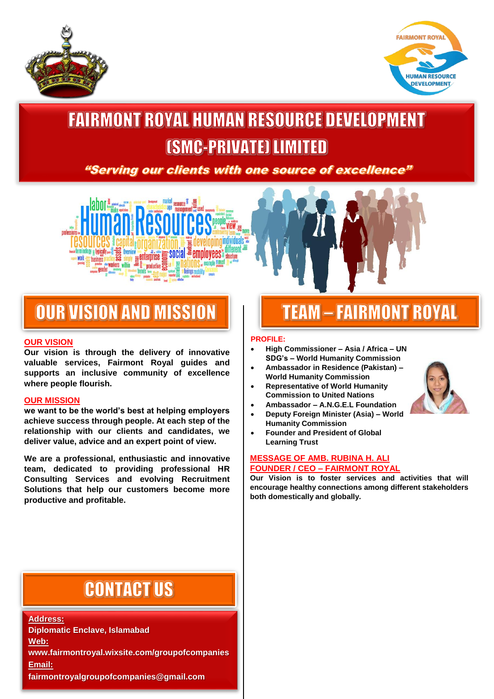



## **FAIRMONT ROYAL HUMAN RESOURCE DEVELOPMENT [SMC-PRIVATE] LIMITED**

"Serving our clients with one source of excellence"



## **OUR VISION AND MISSION**

### **OUR VISION**

**Our vision is through the delivery of innovative valuable services, Fairmont Royal guides and supports an inclusive community of excellence where people flourish.**

#### **OUR MISSION**

**we want to be the world's best at helping employers achieve success through people. At each step of the relationship with our clients and candidates, we deliver value, advice and an expert point of view.**

**We are a professional, enthusiastic and innovative team, dedicated to providing professional HR Consulting Services and evolving Recruitment Solutions that help our customers become more productive and profitable.**

# **TEAM - FAIRMONT ROYAL**

#### **PROFILE:**

- **High Commissioner – Asia / Africa – UN SDG's – World Humanity Commission**
- **Ambassador in Residence (Pakistan) – World Humanity Commission**
- **Representative of World Humanity Commission to United Nations**
- **Ambassador – A.N.G.E.L Foundation**
- **Deputy Foreign Minister (Asia) – World Humanity Commission**
- **Founder and President of Global Learning Trust**

#### **MESSAGE OF AMB. RUBINA H. ALI FOUNDER / CEO – FAIRMONT ROYAL**

**Our Vision is to foster services and activities that will encourage healthy connections among different stakeholders both domestically and globally.** 



## **CONTACT US**

**Address: Diplomatic Enclave, Islamabad Web: www.fairmontroyal.wixsite.com/groupofcompanies Email: fairmontroyalgroupofcompanies@gmail.com**